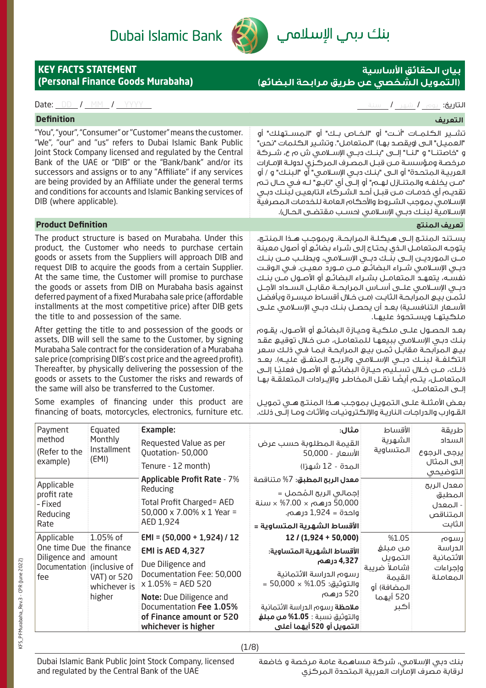

# **بيان الحقائق األساسية )التمويل الشخصي عن طريق مرابحة البضائع(**

### التاريخ: يوم / شهر / سنة التاريخ: يوم / شهر / سنة التاريخ: يوم / شهر / سنة التاريخ: يوم / سنة التاريخ: يوم / س

**(Personal Finance Goods Murabaha)**

**KEY FACTS STATEMENT** 

# **التعريف Definition** تشــير الكلمــات "أنــت" أو "الخــاص بــك" أو "المســتهلك" أو

"العميـل" الـى (ويقصـد بهـا) "المتعامل". وتشـير الكـلمات "نحن" و "خاصتنــا" و "لنــا" إلــى "بنــك دبــي اإلســامي ش م ع، شــركة مرخصـة ومؤسسـة مـن قبـل المصـرف المركـزي لدولـة اإلمـارات العربيـة المتحـدة" أو الـى "بنـك دبـي اإلسـامي" أو "البنـك" و / أو "مـن يخلفـه والمتنـازل لهـم" أو إلـى أي "تابـع" لـه فـي حـال تـم تقديـم أي خدمـات مـن قبـل أحـد الشـركاء التابعيـن لبنـك دبـي

"You", "your", "Consumer" or "Customer" means the customer. "We", "our" and "us" refers to Dubai Islamic Bank Public Joint Stock Company licensed and regulated by the Central Bank of the UAE or "DIB" or the "Bank/bank" and/or its successors and assigns or to any "Affiliate" if any services are being provided by an Affiliate under the general terms and conditions for accounts and Islamic Banking services of DIB (where applicable).

# اإلسـامي بموجب الشـروط واألحكام العامة للخدمات المصرفية الإسـلامـية لـبـنـك دبـي الإسـلامـي (حسـب مـقـتضـي الـحـال). **تعريف المنتج Definition Product**

The product structure is based on Murabaha. Under this product, the Customer who needs to purchase certain goods or assets from the Suppliers will approach DIB and request DIB to acquire the goods from a certain Supplier. At the same time, the Customer will promise to purchase the goods or assets from DIB on Murabaha basis against deferred payment of a fixed Murabaha sale price (affordable installments at the most competitive price) after DIB gets the title to and possession of the same.

After getting the title to and possession of the goods or assets, DIB will sell the same to the Customer, by signing Murabaha Sale contract for the consideration of a Murabaha sale price (comprising DIB's cost price and the agreed profit). Thereafter, by physically delivering the possession of the goods or assets to the Customer the risks and rewards of the same will also be transferred to the Customer.

Some examples of financing under this product are financing of boats, motorcycles, electronics, furniture etc.

يسـتند المنتـج إلـى هيكلـة المرابحـة. وبموجـب هـذا المنتـج، يتوجـه المتعامـل الـذي يحتـاج إلى شـراء بضائـع أو أصول معينة مــن المورديــن إلــى بنــك دبــي اإلســامي، ويطلــب مــن بنــك دبــي اإلســامي شــراء البضائــع مــن مــورد معيــن. فــي الوقــت نفسـه، يتعهـد المتعامـل بشـراء البضائـع أو األصـول مـن بنـك دبــي اإلســامي علــى أســاس المرابحــة مقابــل الســداد اآلجــل لثمـن بيـع المرابحـة الثابـت )مـن خـال أقسـاط ميسـرة وبأفضـل الأســعار الـتنافســية) بعــد أن يحصــل بنــك دبــى الإســلامـي علــي ملكيتهـا ويسـتحوذ عليهـا.

بعـد الحصـول علـى ملكيـة وحيـازة البضائـع أو األصـول، يقـوم بنـك دبـي اإلسـامي ببيعهـا للمتعامـل، مـن خـال توقيـع عقـد بيـع المرابحـة مقابـل ثمـن بيـع المرابحـة )بمـا فـي ذلـك سـعر التكـلفــة لـبنــك دبــي الإســـلامـي والـربــح الـمتفــق علـيــه). بعــد دُلـك، مــن خــلال تســليم حيــازة البضائــع أو الأصــول فعليـًا إلــى ً المتعامــل، يتــم أيضــا نقــل المخاطــر واإليــرادات المتعلقــة بهــا إلــى المتعامــل.

بعـض األمثلـة علـى التمويـل بموجـب هـذا المنتـج هـي تمويـل القـوارب والدراجـات الناريـة واإللكترونيـات واألثـاث ومـا إلـى ذلك.

| Payment<br>method<br>(Refer to the<br>example)                                                       | Equated<br>Monthly<br>Installment<br>(EMI)        | Example:<br>Requested Value as per<br>Quotation-50,000<br>Tenure - 12 month)                                                                                                                                                         | مثال:<br>القيمة المطلوبة حسب عرض<br>الأسعار - 50,000<br>المدة - 12 شهرًا)                                                                                                                                                                              | الأقساط<br>الشهرية<br>المتساوية                                                            | طريقة<br>السداد<br>يرجى الرجوع<br>إلى المثال<br>التوضيحي |
|------------------------------------------------------------------------------------------------------|---------------------------------------------------|--------------------------------------------------------------------------------------------------------------------------------------------------------------------------------------------------------------------------------------|--------------------------------------------------------------------------------------------------------------------------------------------------------------------------------------------------------------------------------------------------------|--------------------------------------------------------------------------------------------|----------------------------------------------------------|
| Applicable<br>profit rate<br>- Fixed<br>Reducing<br>Rate                                             |                                                   | <b>Applicable Profit Rate - 7%</b><br>Reducing<br>Total Profit Charged= AED<br>50,000 x 7.00% x 1 Year =<br>AED 1,924                                                                                                                | <b>معدل الربح المطبق:</b> 7% متناقصة<br>إجمالۍ الربح المُحمل =<br>50,000 درهم × 7.00% × سنة<br>واحدة = 1,924 درهـم.<br>الأقساط الشهرية المتساوية =                                                                                                     |                                                                                            | معدل الربح<br>المطبق<br>- المعدل<br>المتناقص<br>الثابت   |
| Applicable<br>One time Due the finance<br>Diligence and amount<br>Documentation (inclusive of<br>fee | 1.05% of<br>VAT) or 520<br>whichever is<br>higher | $EMI = (50,000 + 1,924) / 12$<br>EMI is AED 4,327<br>Due Diligence and<br>Documentation Fee: 50,000<br>$x 1.05\% = AED 520$<br>Note: Due Diligence and<br>Documentation Fee 1.05%<br>of Finance amount or 520<br>whichever is higher | 12 / (1,924 + 50,000)<br>الأقساط الشهرية المتساوية:<br>4,327 درهم<br>رسوم الدراسة الائتمانية<br>والتوثيق: 50,000 × 50,000 =<br>520 درهـم<br><b>ملاحظة</b> رسوم الدراسة الائتمانية<br>والتوثيق نسبة : <b>1.05% من مبلغ</b><br>التمويل أو 520 أيهما أعلى | %1.05<br>من مبلغ<br>التمويل<br>(شاملاً ضريبة<br>القيمة<br>المضافة) أو<br>520 أيهما<br>اکبر | رسوم<br>الدراسة<br>الائتمانية<br>وإجراءات<br>المعاملة    |

(1/8)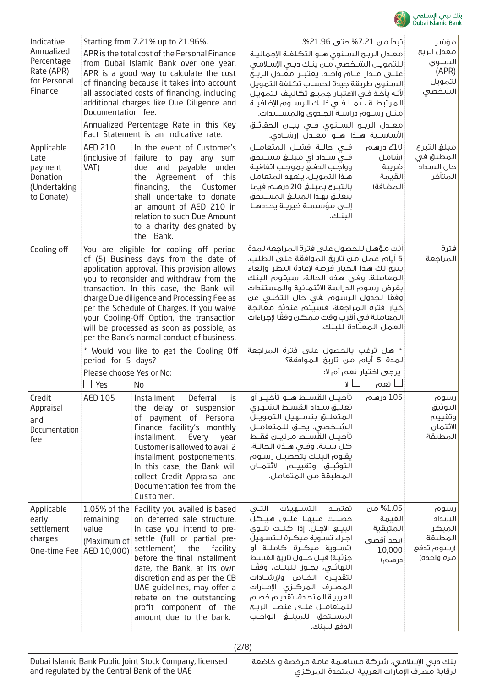

| ﻨﻚ ﺑﺲ ﺍﻟِﺳﻠﺎﺱ      |  |  |
|--------------------|--|--|
| Dubai Islamic Bank |  |  |

| Indicative<br>Annualized<br>Percentage<br>Rate (APR)<br>for Personal<br>Finance | Starting from 7.21% up to 21.96%.<br>APR is the total cost of the Personal Finance<br>from Dubai Islamic Bank over one year.<br>APR is a good way to calculate the cost<br>of financing because it takes into account<br>all associated costs of financing, including<br>additional charges like Due Diligence and<br>Documentation fee.<br>Annualized Percentage Rate in this Key<br>Fact Statement is an indicative rate.                                                                         |                                                                                                                                                                                                                                                                                                                                                                              | تبدأ من 7.21% حتى 21.96%.<br>معـدل الربـح السـنوي هـو التكلفـة الإجماليـة<br>للتمويل الشخصي مـن بنـك دبـى الإسـلامـى<br>السنوى طريقة جيدة لحساب تكلفة التمويل<br>لأنه يأخذ فى الاعتبار جميع تكاليف التمويل<br>المرتبطـة ، بمــا فــى ذلـك الرســوم الإضافيــة<br>مثـل رسـوم دراسـة الجـدوى والمسـتندات.<br>معــدل الربــح الـســنـوي فــي بيــان الـحقائــق<br>الأساســية هـــذا هـــو معـــدل إرشـــادي.                 |                                                                 | مؤشر<br>معدل الربح<br>السنوى<br>(APR)<br>لتمويل<br>الشخصى       |
|---------------------------------------------------------------------------------|-----------------------------------------------------------------------------------------------------------------------------------------------------------------------------------------------------------------------------------------------------------------------------------------------------------------------------------------------------------------------------------------------------------------------------------------------------------------------------------------------------|------------------------------------------------------------------------------------------------------------------------------------------------------------------------------------------------------------------------------------------------------------------------------------------------------------------------------------------------------------------------------|---------------------------------------------------------------------------------------------------------------------------------------------------------------------------------------------------------------------------------------------------------------------------------------------------------------------------------------------------------------------------------------------------------------------------|-----------------------------------------------------------------|-----------------------------------------------------------------|
| Applicable<br>Late<br>payment<br>Donation<br>(Undertaking<br>to Donate)         | <b>AED 210</b><br>(inclusive of<br>VAT)                                                                                                                                                                                                                                                                                                                                                                                                                                                             | In the event of Customer's<br>failure to pay any sum<br>payable under<br>due and<br>Agreement of this<br>the<br>financing,<br>the<br>Customer<br>shall undertake to donate<br>an amount of AED 210 in<br>relation to such Due Amount<br>to a charity designated by<br>the Bank.                                                                                              | فـى حالــة فشــل المتعامــل<br>فــى ســداد أى مبلـــــفي مســـتحق<br>وواجب الدفع بموجب اتفاقية<br>هـذا التمويـل، يتعهد المتعامل<br>بالتبرع بمبلغ 210 درهم فيما<br>يتعلـق بهـذا المبلـغ المسـتحق<br>إلــى مؤسسـة فيريــة يحددهــا<br>البنك.                                                                                                                                                                                | 210 درهـم<br>(شامل<br>ضريبة<br>القيمة<br>المضافة)               | مبلغ التبرع<br>المطبق في<br>حال السداد<br>المتأخر               |
| Cooling off                                                                     | You are eligible for cooling off period<br>of (5) Business days from the date of<br>application approval. This provision allows<br>you to reconsider and withdraw from the<br>transaction. In this case, the Bank will<br>charge Due diligence and Processing Fee as<br>per the Schedule of Charges. If you waive<br>your Cooling-Off Option, the transaction<br>will be processed as soon as possible, as<br>per the Bank's normal conduct of business.<br>* Would you like to get the Cooling Off |                                                                                                                                                                                                                                                                                                                                                                              | ِ أنت مؤهل للحصول على فترة المراجعة لمدة<br>5 أيام عمل من تاريخ الموافقة على الطلب.<br>يتيح لك هذا الخيار فرصة لإعادة النظر وإلغاء<br>المعاملة. وفي هذه الحالة، سيقوم البنك<br>بفرض رسوم الدراسة الائتمانية والمستندات<br>وفقاً لـجدول الرسوم .في حال الـتخلـي عـن<br>خيار فترة المراجعة، فسيتم عندئذ معالجة<br>المعاملة فى أقرب وقت ممكن وفقًا لإجراءات<br>العمل المعتّادة للبنك.<br>* هل ترغب بالحصول على فترة المراجعة |                                                                 | فترة<br>المراجعة                                                |
|                                                                                 | period for 5 days?<br>Please choose Yes or No:<br>Yes                                                                                                                                                                                                                                                                                                                                                                                                                                               | No                                                                                                                                                                                                                                                                                                                                                                           | لمدة 5 أيام من تاريغ الموافقة؟<br>υl                                                                                                                                                                                                                                                                                                                                                                                      | يرجى اختيار نعم أم لا:<br>نعم                                   |                                                                 |
| Credit<br>Appraisal<br>and<br>Documentation<br>fee                              | AED 105                                                                                                                                                                                                                                                                                                                                                                                                                                                                                             | Installment<br>Deferral<br>is<br>the delay or suspension<br>payment of Personal<br>оf<br>Finance facility's monthly<br>installment.<br>Every<br>year<br>Customer is allowed to avail 2<br>installment postponements.<br>In this case, the Bank will<br>collect Credit Appraisal and<br>Documentation fee from the<br>Customer.                                               | أتأجيــل القســط هــو تأخيــر أو<br>تعليق سداد القسط الشهرى<br>الشـــخصى. يحــــق للـمتعامـــل<br>تآجيـل القسـط مرتيـن فقـط<br>كل سـنة. وفـى هـذه الحالـة،<br>يقوم البنك بتحصيل رسوم<br>التوثيـــق وتقـييــــــــم الائتمـــان<br>المطبقة من المتعامل.                                                                                                                                                                    | 105 درهم                                                        | رسوم<br>التوثيق<br>وتقييم<br>الائتمان<br>المطبقة                |
| Applicable<br>early<br>settlement<br>charges                                    | 1.05% of the<br>remaining<br>value<br>(Maximum of<br>One-time Fee   AED 10,000)                                                                                                                                                                                                                                                                                                                                                                                                                     | Facility you availed is based<br>on deferred sale structure.<br>In case you intend to pre-<br>settle (full or partial pre-<br>settlement)<br>the<br>facility<br>before the final installment<br>date, the Bank, at its own<br>discretion and as per the CB<br>UAE guidelines, may offer a<br>rebate on the outstanding<br>profit component of the<br>amount due to the bank. | التــى<br>التســهيلات<br>تعتمـد<br>حصلـت عليهـا علــى هـيـڪل<br>اجراء تسوية مبكرة للتسهيل<br>(تســوية مبكــرة كامـلــة أو<br>جزئية) قبـل حلـول تاريخ القسـط<br>النهائـي، يجــوز للبنــك، وفقَـا<br>لتقديــره الخــاص ولإرشــادات<br>المصرف المركزى الإمـارات<br>العربية المتحدة، تقديم خصم<br>للمتعامــل علـــى عنصــر الربـــح<br>الدفع للبنك.                                                                           | 1.05% من<br>القيمة<br>المتبقية<br>(بحد أقصى<br>10,000<br>درهـم) | رسوم<br>السداد<br>المبكر<br>المطبقة<br>(رسوم تحفع<br>مرة واحدة) |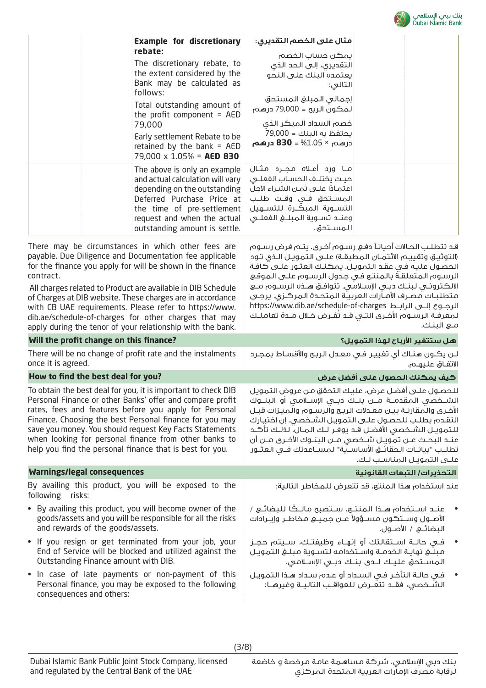

|                                                                                                                                                                                                                                                                                                                                                                                                                                                                                                         | <b>DUDUI DIUITIIL DUI</b>                                                                                                                                                                                                                                                                                                                                                                                                                                                                                        |  |  |
|---------------------------------------------------------------------------------------------------------------------------------------------------------------------------------------------------------------------------------------------------------------------------------------------------------------------------------------------------------------------------------------------------------------------------------------------------------------------------------------------------------|------------------------------------------------------------------------------------------------------------------------------------------------------------------------------------------------------------------------------------------------------------------------------------------------------------------------------------------------------------------------------------------------------------------------------------------------------------------------------------------------------------------|--|--|
| <b>Example for discretionary</b>                                                                                                                                                                                                                                                                                                                                                                                                                                                                        | مثال على الخصم التقديري:                                                                                                                                                                                                                                                                                                                                                                                                                                                                                         |  |  |
| rebate:<br>The discretionary rebate, to<br>the extent considered by the<br>Bank may be calculated as<br>follows:                                                                                                                                                                                                                                                                                                                                                                                        | يمكن حساب الخصم<br>التقديري، إلى الحد الذي<br>يعتمده البنك على النحو<br>التالى:                                                                                                                                                                                                                                                                                                                                                                                                                                  |  |  |
| Total outstanding amount of<br>the profit component = $AED$<br>79,000<br>Early settlement Rebate to be<br>retained by the bank = $AED$<br>79,000 $\times$ 1.05% = AED 830                                                                                                                                                                                                                                                                                                                               | إجمالى المبلغ المستحق<br>لمكون الربح = 79,000 درهـم<br>خصم السداد المبكر الذى<br>يحتفظ به البنك = 79,000<br><u> درهـم، × 1.05% = <b>830</b> درهـم</u>                                                                                                                                                                                                                                                                                                                                                            |  |  |
| The above is only an example<br>and actual calculation will vary<br>depending on the outstanding<br>Deferred Purchase Price at<br>the time of pre-settlement<br>request and when the actual<br>outstanding amount is settle.                                                                                                                                                                                                                                                                            | مــا ورد أعــلاه مـجــرد مثــال<br>حيث يختلـف الحسـاب الفعلــى<br>اعتمـادًا علـــى ثمــن الـشــراء الآجلُ<br>المسـتحق فـى وقـت طلـب<br>التســوية المبكــرة للتســهيل<br>المستحق.                                                                                                                                                                                                                                                                                                                                 |  |  |
| There may be circumstances in which other fees are<br>payable. Due Diligence and Documentation fee applicable<br>for the finance you apply for will be shown in the finance<br>contract.<br>All charges related to Product are available in DIB Schedule<br>of Charges at DIB website. These charges are in accordance<br>with CB UAE requirements. Please refer to https://www.<br>dib.ae/schedule-of-charges for other charges that may<br>apply during the tenor of your relationship with the bank. | قد تتطلب الحالات أحيانـأ دفـع رسـوم أخـرى. يتـم فرض رسـوم<br>(التوثيق وتقييم الائتمان المطبقة) علـى التمويـل الـذي تـود<br>الحصول عليه في عقد التمويل. يمكنك العثور على كافة<br>الرسوم المتعلقة بالمنتج في جدول الرسوم على الموقع<br>الالكترونـي لبنـك دبـي الإسـلامـي. تتوافـق هـذه الرسـوم مـع<br>متطلبـات مصـرف الأمـارات العربيـة الـمتحـدة الـمركـزى. يرجـى<br>الرجــوع إلـــى الرابــط https://www.dib.ae/schedule-of-charges<br>لمعرفة الرسـوم الأخـرى التـي قـد تُفـرض خـلال مـدة تعاملـك<br>مـع البنـك. |  |  |
| Will the profit change on this finance?                                                                                                                                                                                                                                                                                                                                                                                                                                                                 | هل ستتفير الأرباح لهذا التمويل؟                                                                                                                                                                                                                                                                                                                                                                                                                                                                                  |  |  |
| There will be no change of profit rate and the instalments<br>once it is agreed.                                                                                                                                                                                                                                                                                                                                                                                                                        | لـن يكـون هـنـاك أي تغييـر فـى مـعـدل الربـح والأقسـاط بمجـرد<br>الاتفاق عليهـم.                                                                                                                                                                                                                                                                                                                                                                                                                                 |  |  |
| How to find the best deal for you?                                                                                                                                                                                                                                                                                                                                                                                                                                                                      | كيف يمكنك الحصول على أفضل عرض                                                                                                                                                                                                                                                                                                                                                                                                                                                                                    |  |  |
| To obtain the best deal for you, it is important to check DIB<br>Personal Finance or other Banks' offer and compare profit<br>rates, fees and features before you apply for Personal<br>Finance. Choosing the best Personal finance for you may<br>save you money. You should request Key Facts Statements<br>when looking for personal finance from other banks to<br>help you find the personal finance that is best for you.                                                                         | للحصول علـى أفضل عرض، عليك التحقق من عروض التمويل<br>الشـــخصي الـمقدمـــة مــــن بنـــك دبـــى الإســـلامـي أو الـبنـــوك<br>الأخرى والمقارنة بين معدلات الربح والرسوم والميزات قبل<br>التقده، بطلب للحصول على التمويل الشخصى. إن اختيارك<br>للتمويـل الشــفصى الأفضـل قـد يوفـر لـك المـال. لذلـك تأكـد<br>عنـد البحـث عـن تمويــل شــخصى مــن الـبنــوك الأخـرى مــن أن<br>تطلـب "بيانـات الحقائــق الأساســية" لمســاعدتك فــى العثــور<br>علـى التمويـل المناسـب لـك.                                       |  |  |
| <b>Warnings/legal consequences</b>                                                                                                                                                                                                                                                                                                                                                                                                                                                                      | التحذيرات/ التبعات القانونية                                                                                                                                                                                                                                                                                                                                                                                                                                                                                     |  |  |
| By availing this product, you will be exposed to the<br>following risks:                                                                                                                                                                                                                                                                                                                                                                                                                                | عند استخدام هذا المنتج، قد تتعرض للمخاطر التالية:                                                                                                                                                                                                                                                                                                                                                                                                                                                                |  |  |
| • By availing this product, you will become owner of the<br>goods/assets and you will be responsible for all the risks<br>and rewards of the goods/assets.                                                                                                                                                                                                                                                                                                                                              | الأصـول وســتكون مســؤولاً عــن جميــع مخاطـر وإيــرادات                                                                                                                                                                                                                                                                                                                                                                                                                                                         |  |  |
| • If you resign or get terminated from your job, your<br>End of Service will be blocked and utilized against the<br>Outstanding Finance amount with DIB.                                                                                                                                                                                                                                                                                                                                                | فــى حالـــة اســـتقالـتك أو إنهــاء وظيفتــك، ســـيتم حجــز<br>مبلغ نهاية الخدمة واستخدامه لتسوية مبلغ التمويل<br>المســتحق عليـك لــدى بنــك دبــى الإســلامـى.                                                                                                                                                                                                                                                                                                                                                |  |  |
| • In case of late payments or non-payment of this<br>Personal finance, you may be exposed to the following<br>consequences and others:                                                                                                                                                                                                                                                                                                                                                                  | في حالـة التأخـر فـي الـسـداد أو عـده سـداد هـذا الـتمويـل<br>الشَّـــفـصي، فقـــد تتعــرض للعواقــب التاليــة وغيرهــا:                                                                                                                                                                                                                                                                                                                                                                                         |  |  |

(3/8)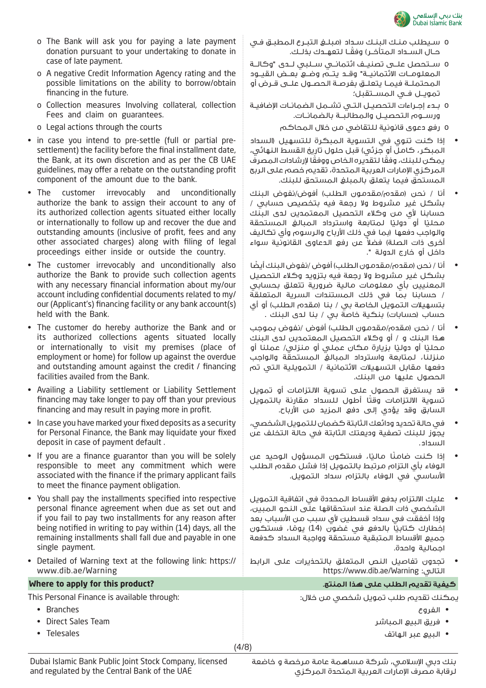

- o The Bank will ask you for paying a late payment donation pursuant to your undertaking to donate in case of late payment.
- o A negative Credit Information Agency rating and the possible limitations on the ability to borrow/obtain financing in the future.
- o Collection measures Involving collateral, collection Fees and claim on guarantees.
- o Legal actions through the courts
- in case you intend to pre-settle (full or partial presettlement) the facility before the final installment date, the Bank, at its own discretion and as per the CB UAE guidelines, may offer a rebate on the outstanding profit component of the amount due to the bank.
- The customer irrevocably and unconditionally authorize the bank to assign their account to any of its authorized collection agents situated either locally or internationally to follow up and recover the due and outstanding amounts (inclusive of profit, fees and any other associated charges) along with filing of legal proceedings either inside or outside the country.
- The customer irrevocably and unconditionally also authorize the Bank to provide such collection agents with any necessary financial information about my/our account including confidential documents related to my/ our (Applicant's) financing facility or any bank account(s) held with the Bank.
- The customer do hereby authorize the Bank and or its authorized collections agents situated locally or internationally to visit my premises (place of employment or home) for follow up against the overdue and outstanding amount against the credit / financing facilities availed from the Bank.
- Availing a Liability settlement or Liability Settlement financing may take longer to pay off than your previous financing and may result in paying more in profit.
- In case you have marked your fixed deposits as a security for Personal Finance, the Bank may liquidate your fixed deposit in case of payment default .
- If you are a finance guarantor than you will be solely responsible to meet any commitment which were associated with the finance if the primary applicant fails to meet the finance payment obligation.
- You shall pay the installments specified into respective personal finance agreement when due as set out and if you fail to pay two installments for any reason after being notified in writing to pay within (14) days, all the remaining installments shall fall due and payable in one single payment.
- Detailed of Warning text at the following link: https:// www.dib.ae/Warning

This Personal Finance is available through:

- Branches
- Direct Sales Team
- Telesales

Dubai Islamic Bank Public Joint Stock Company, licensed and regulated by the Central Bank of the UAE

- o سـيطلب منـك البنـك سـداد )مبلـغ التبـرع المطبـق فـي ً حــال الســداد المتأخــر( وفقــا لتعهــدك بذلــك.
- o ســتحصل علــى تصنيــف ائتمانــي ســلبي لــدى "وكالــة المعلومــات االئتمانيــة" وقــد يتــم وضــع بعــض القيــود المحتملــة فيمــا يتعلــق بفرصــة الحصــول علــى قــرض أو تمويــل فــي المســتقبل؛
- o بــدء إجــراءات التحصيــل التــي تشــمل الضمانــات اإلضافيــة ورســوم التحصيــل والمطالبــة بالضمانــات.
	- o رفع دعوى قانونية للتقاضي من خالل المحاكم
- إذا كنت تنوي في التسوية المبكرة للتسهيل )السداد المبكر، كاملَ أو جزئي) قبل حلول تاريخ القسط النهائي، ً يمكن للبنك، وفق ً ا لتقديره الخاص ووفقا إلرشادات المصرف المركزي اإلمارات العربية المتحدة، تقديم خصم على الربح المستحق فيما يتعلق بالمبلغ المستحق للبنك.
- أنا / نحن (مقده/مقدمون الطلب) أفوض/نفوض البنك بشكل غير مشروط وال رجعة فيه بتخصيص حسابي / حسابنا ألي من وكالء التحصيل المعتمدين لدى البنك محليًا أو دوليًا لمتابعة واسترداد المبالغ المستحقة والواجب دفعها (بما في ذلك الأرباح والرسوم وأي تكاليف أخرى ذات الصلة) فضلاً عن رفعِ الحماوى القانونية سواء داخل أو خارج الدولة ".
- أنا / نحن (مقده/مقدمون الطلب) أفوض /نفوض البنك أيضًا بشكل غير مشروط وال رجعة فيه بتزويد وكالء التحصيل المعنيين بأي معلومات مالية ضرورية تتعلق بحسابي / حسابنا بما في ذلك المستندات السرية المتعلقة بتسهيلات التمويل الخاصة بي / بنا (مقدم الطلب) أو أي حساب (حسابات) بنكية خاصة بي / بنا لدى البنك .
- أنا / نحن (مقدم/مقدمون الطلب) أفوض /نفوض بموجب هذا البنك و / أو وكالء التحصيل المعتمدين لدى البنك محليًا أو دوليًا بزيارة مكان عملي أو منزلي/ عملنا أو منزلنا، لمتابعة واسترداد المبالغ المستحقة والواجب دفعها مقابل التسهيالت االئتمانية / التمويلية التي تم الحصول عليها من البنك.
- قد يستغرق الحصول على تسوية االلتزامات أو تمويل تسوية الالتزامات وقتا أطول للسداد مقارنة بالتمويل السابق وقد يؤدي إلى دفع المزيد من األرباح.
- في حالة تحديد ودائعك الثابتة كضمان للتمويل الشخصي، يجوز للبنك تصفية وديعتك الثابتة في حالة التخلف عن السداد.
- إذا كنتٍ ضامنًا ماليًا، فستكون المسؤول الوحيد عن الوفاء بأي التزام مرتبط بالتمويل إذا فشل مقدم الطلب األساسي في الوفاء بالتزام سداد التمويل.
- عليك االلتزام بدفع األقساط المحددة في اتفاقية التمويل الشخصي ذات الصلة عند استحقاقها على النحو المبين، وإذا أخفقت في سداد قسطين لأي سبب من الأسباب بعد <sub>ِا</sub>خطارك ٍكتابيًا بالدفع في غضون (14) يومًا، فستكون جميع الأقساط المتبقية مستحقة وواجبة السداد كدفعة اجمالية واحدة.
- تجدون تفاصيل النص المتعلق بالتحذيرات على الرابط https://www.dib.ae/Warning :التالي

### **كيفية تقديم الطلب على هذا المنتج. ?product this for apply to Where**

يمكنك تقديم طلب تمويل شخصي من خالل:

- الفروع
- فريق البيع المباشر
	- البيع عبر الهاتف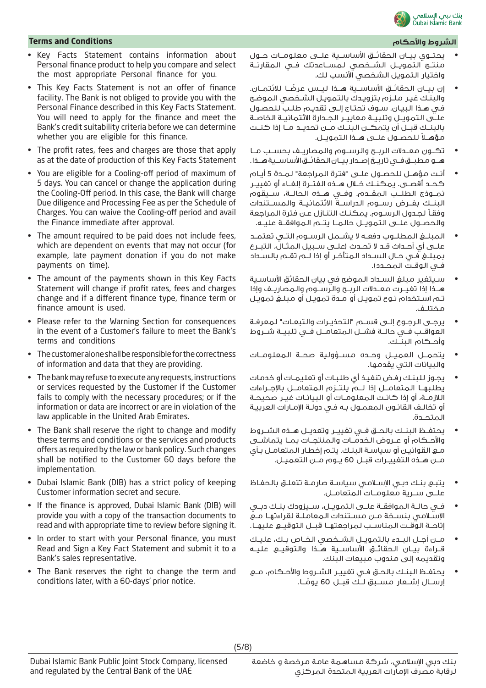

### **Terms and Conditions واألحكام الشروط**

- Key Facts Statement contains information about Personal finance product to help you compare and select the most appropriate Personal finance for you.
- This Key Facts Statement is not an offer of finance facility. The Bank is not obliged to provide you with the Personal Finance described in this Key Facts Statement. You will need to apply for the finance and meet the Bank's credit suitability criteria before we can determine whether you are eligible for this finance.
- The profit rates, fees and charges are those that apply as at the date of production of this Key Facts Statement
- You are eligible for a Cooling-off period of maximum of 5 days. You can cancel or change the application during the Cooling-Off period. In this case, the Bank will charge Due diligence and Processing Fee as per the Schedule of Charges. You can waive the Cooling-off period and avail the Finance immediate after approval.
- The amount required to be paid does not include fees, which are dependent on events that may not occur (for example, late payment donation if you do not make payments on time).
- The amount of the payments shown in this Key Facts Statement will change if profit rates, fees and charges change and if a different finance type, finance term or finance amount is used.
- Please refer to the Warning Section for consequences in the event of a Customer's failure to meet the Bank's terms and conditions
- The customer alone shall be responsible for the correctness of information and data that they are providing.
- The bank may refuse to execute any requests, instructions or services requested by the Customer if the Customer fails to comply with the necessary procedures; or if the information or data are incorrect or are in violation of the law applicable in the United Arab Emirates.
- The Bank shall reserve the right to change and modify these terms and conditions or the services and products offers as required by the law or bank policy. Such changes shall be notified to the Customer 60 days before the implementation.
- Dubai Islamic Bank (DIB) has a strict policy of keeping Customer information secret and secure.
- If the finance is approved, Dubai Islamic Bank (DIB) will provide you with a copy of the transaction documents to read and with appropriate time to review before signing it.
- In order to start with your Personal finance, you must Read and Sign a Key Fact Statement and submit it to a Bank's sales representative.
- The Bank reserves the right to change the term and conditions later, with a 60-days' prior notice.

- يحتــوي بيــان الحقائــق األساســية علــى معلومــات حــول منتــج التمويــل الشــخصي لمســاعدتك فــي المقارنــة واختيار التمويل الشخصي األنسب لك.
- ً إن بيــان الحقائــق األساســية هــذا ليــس عرضــا لالئتمــان. والبنـك غيـر ملـزم بتزويـدك بالتمويـل الشـخصي الموضـح فـي هـذا البيـان. سـوف تحتـاج إلـى تقديـم طلـب للحصـول علــى التمويــل وتلبيــة معاييــر الجــدارة االئتمانيــة الخاصــة بالبنــك قبــل أن يتمكــن البنــك مــن تحديــد مــا إذا كنــت مؤهــلاً للـحصــول علـــى هــذا الـتمويــل.
- تكــون معــدالت الربــح والرســوم والمصاريــف بحســب مــا هــو مطبــق فــى تاريــخ إصــدار بيــان الـحقائــق الأساســية هــذا.
- أنـت مؤهـل للحصـول علـى "فترة المراجعة" لمـدة 5 أيـام كحــد أقصــى. يمكنــك خــال هــذه الفتــرة إلغــاء أو تغييــر نمــوذج الطلــب المقــدم. وفــي هــذه الحالــة، ســيقوم البنــك بفــرض رســوم الدراســة االئتمانيــة والمســتندات وفقـا لجـدول الرسـوم. يمكنـك التنـازل عـن فترة المراجعة والحصــول علــى التمويــل حالمــا يتــم الموافقــة عليــه.
- المبلــغ المطلــوب دفعــه ال يشــمل الرســوم التــي تعتمــد علــى أي أحــداث قــد ال تحــدث )علــى ســبيل المثــال، التبــرع بمبلـغ فـي حـال السـداد المتأخـر أو إذا لـم تقـم بالسـداد فــي الـوقــت الـمحــدد).
- سـيتغير مبلغ السـداد الموضح في بيان الحقائق األساسـية هــذا إذا تغيــرت معــدالت الربــح والرســوم والمصاريــف وإذا تـم اسـتخدام نـوع تمويـل أو مـدة تمويـل أو مبلـغ تمويـل مختلـف.
- يرجـى الرجـوع إلـى قسـم "التحذيـرات والتبعـات" لمعرفـة العواقــب فــي حالــة فشــل المتعامــل فــي تلبيــة شــروط وأحــكام البنــك.
- يتحمــل العميــل وحــده مســؤولية صحــة المعلومــات والبيانات التي يقدمها.
- يجـوز للبنـك رفـض تنفيـذ أي طلبـات أو تعليمـات أو خدمات يطلبهــا المتعامــل إذا لــم يلتــزم المتعامــل باإلجــراءات الالزمـة، أو إذا كانـت المعلومـات أو البيانـات غيـر صحيحـة أو تخالـف القانـون المعمـول بـه فـي دولـة اإلمـارات العربيـة المتحــدة.
- يحتفــظ البنــك بالحــق فــي تغييــر وتعديــل هــذه الشــروط واألحــكام أو عــروض الخدمــات والمنتجــات بمــا يتماشــى مـع القوانيـن أو سياسـة البنـك. يتـم إخطـار المتعامـل بـأي مــن هــذه التغييــرات قبــل 60 يــوم مــن التعميــل.
- يتبـع بنـك دبـي اإلسـامي سياسـة صارمـة تتعلـق بالحفـاظ علــى ســرية معلومــات المتعامــل.
- فــي حالــة الموافقــة علــى التمويــل، ســيزودك بنــك دبــي اإلسـامي بنسـخة مـن مسـتندات المعاملـة لقراءتهـا مـع إتاحــة الوقــت المناســب لمراجعتهــا قبــل التوقيــع عليهــا.
- مــن أجــل البــدء بالتمويــل الشــخصي الخــاص بــك، عليــك قــراءة بيــان الحقائــق األساســية هــذا والتوقيــع عليــه وتقديمه إلى مندوب مبيعات البنك.
- يحتفــظ البنــك بالحــق فــي تغييــر الشــروط واألحــكام، مــع إرســال إشــعار مســبق لــك قبــل 60 يومُــا. **ا**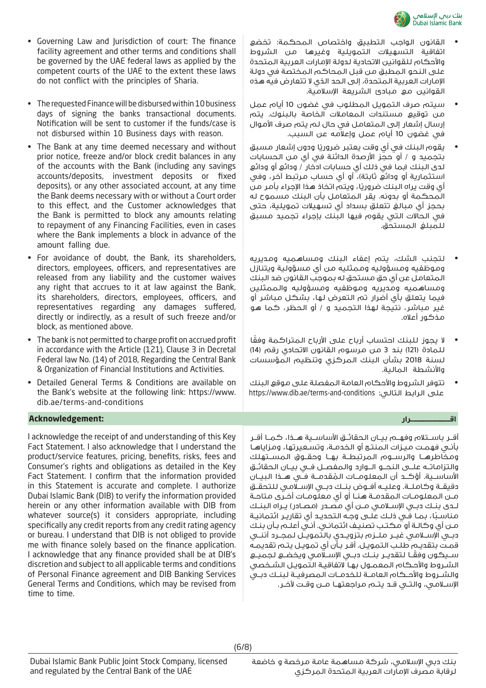

- القانون الواجب التطبيق واختصاص المحكمة: تخضع اتفاقية التسهيالت التمويلية وغيرها من الشروط والأحكام للقوانين الاتحادية لدولة الإمارات العربية المتحدة على النحو المطبق من قبل المحاكم المختصة في دولة اإلمارات العربية المتحدة، إلى الحد الذي ال تتعارض فيه هذه القوانين مع مبادئ الشريعة اإلسالمية.
	- سيتم صرف التمويل المطلوب في غضون 10 أيام عمل من توقيع مستندات المعامالت الخاصة بالبنوك. يتم إرسال إشعار إلى المتعامل في حال لم يتم صرف األموال في غضون 10 أيام عمل وإعالمه عن السبب.
	- يقوم البنك في أي وقت يعتبر ضروريًا ودون إشعار مسبق بتجميد و / أو حجز األرصدة الدائنة في أي من الحسابات لدى البنك )بما في ذلك أي حسابات ادخار / ودائع أو ودائع استثمارية أو ودائع ثابتة)، أو أي حساب مرتبط آخر، وفي أي وقت يراه البنك ضروريًا، ويتم اتخاذٍ هذا الإجراء بأمر من المحكمة أو بدونه. يقر المتعامل بأن البنك مسموح له بحجز أي مبالغ تتعلق بسداد أي تسهيالت تمويلية، حتى في الحاالت التي يقوم فيها البنك بإجراء تجميد مسبق للمبلغ المستحق.
	- لتجنب الشك، يتم إعفاء البنك ومساهميه ومديريه وموظفيه ومسؤوليه وممثليه من أي مسؤولية ويتنازل المتعامل عن أي حق مستحق له بموجب القانون ضد البنك ومساهميه ومديريه وموظفيه ومسؤوليه والممثلين فيما يتعلق بأي أضرار تم التعرض لها، بشكل مباشر أو غير مباشر، نتيجة لهذا التجميد و / أو الحظر، كما هو مذكور أعاله.
	- لا يجوز للبنك احتساب أرباح على الأرباح المتراكمة وفقا للمادة (121) بند 3 من مرسوم القانون الاتحادي رقم (14) لسنة 2018 بشأن البنك المركزي وتنظيم المؤسسات واألنشطة المالية.
	- تتوفر الشروط واألحكام العامة المفصلة على موقع البنك https://www.dib.ae/terms-and-conditions :التالي الرابط على

أقــر باســتالم وفهــم بيــان الحقائــق األساســية هــذا، كمــا أقــر بأنـي فهمـت ميـزات المنتـج أو الخدمـة، وتسـعيرتها، ومزاياهـا ومخاطرهــا والرســوم المرتبطــة بهــا وحقــوق المســتهلك والتزاماتــه علــى النحــو الــوارد والمفصــل فــي بيــان الحقائــق األساســية. أؤكــد أن المعلومــات المقدمــة فــي هــذا البيــان دقيقــة وكاملــة. وعليــه أفــوض بنــك دبــي اإلســامي للتحقــق ُ مـن المعلومـات المقدمـة هنـا أو أي معلومـات أخـرى متاحـة لــدى بنــك دبــي اإلســامي مــن أي مصــدر )مصــادر( يــراه البنــك مناسـبـًا، بمـا فـِي ذلـك علـى وجـه التحديـد أي تقاريـر ائتمانيـة مـن أي وكالـة أو مكتـب تصنيـف ائتمانـي. أنـي أعلـم بـأن بنـك دبــي اإلســامي غيــر ملــزم بتزويــدي بالتمويــل لمجــرد أننــي قمـت بتقديـم طلـب التمويـل. أقـر بـأن أي تمويـل يتـم تقديمـه ً ســيكون وفقــا لتقديــر بنــك دبــي اإلســامي ويخضــع لجميــع الشـروط واألحـكام المعمـول بهـا التفاقيـة التمويـل الشـخصي والشــروط واألحــكام العامــة للخدمــات المصرفيــة لبنــك دبــي اإلســامي، والتــي قــد يتــم مراجعتهــا مــن وقــت آلخــر.

- Governing Law and Jurisdiction of court: The finance facility agreement and other terms and conditions shall be governed by the UAE federal laws as applied by the competent courts of the UAE to the extent these laws do not conflict with the principles of Sharia.
- The requested Finance will be disbursed within 10 business days of signing the banks transactional documents. Notification will be sent to customer if the funds/case is not disbursed within 10 Business days with reason.
- The Bank at any time deemed necessary and without prior notice, freeze and/or block credit balances in any of the accounts with the Bank (including any savings accounts/deposits, investment deposits or fixed deposits), or any other associated account, at any time the Bank deems necessary with or without a Court order to this effect, and the Customer acknowledges that the Bank is permitted to block any amounts relating to repayment of any Financing Facilities, even in cases where the Bank implements a block in advance of the amount falling due.
- For avoidance of doubt, the Bank, its shareholders, directors, employees, officers, and representatives are released from any liability and the customer waives any right that accrues to it at law against the Bank, its shareholders, directors, employees, officers, and representatives regarding any damages suffered, directly or indirectly, as a result of such freeze and/or block, as mentioned above.
- The bank is not permitted to charge profit on accrued profit in accordance with the Article (121), Clause 3 in Decretal Federal law No. (14) of 2018, Regarding the Central Bank & Organization of Financial Institutions and Activities.
- Detailed General Terms & Conditions are available on the Bank's website at the following link: https://www. dib.ae/terms-and-conditions

### **اقـــــــــــــــــــــــــــــرار :Acknowledgement**

I acknowledge the receipt of and understanding of this Key Fact Statement. I also acknowledge that I understand the product/service features, pricing, benefits, risks, fees and Consumer's rights and obligations as detailed in the Key Fact Statement. I confirm that the information provided in this Statement is accurate and complete. I authorize Dubai Islamic Bank (DIB) to verify the information provided herein or any other information available with DIB from whatever source(s) it considers appropriate, including specifically any credit reports from any credit rating agency or bureau. I understand that DIB is not obliged to provide me with finance solely based on the finance application. I acknowledge that any finance provided shall be at DIB's discretion and subject to all applicable terms and conditions of Personal Finance agreement and DIB Banking Services General Terms and Conditions, which may be revised from time to time.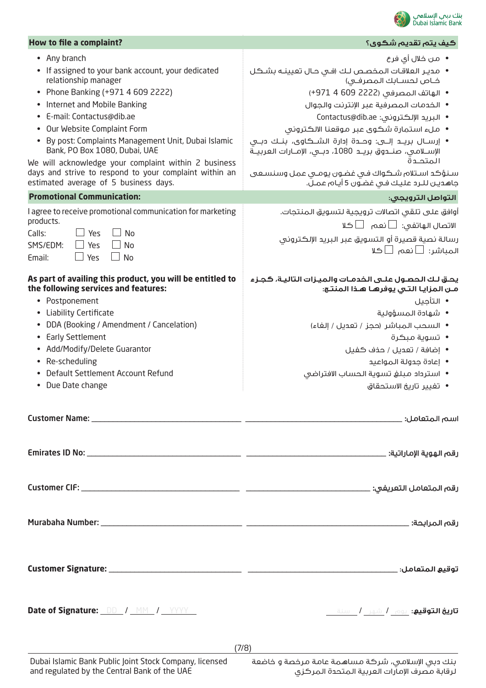

| How to file a complaint?                                                                                                                                                                                                                                                                                                                                                                                                                                                           | ڪيف پتم تقديم شڪوي؟                                                                                                                                                                                                                                                                                                                                                                                                                                                                                                |
|------------------------------------------------------------------------------------------------------------------------------------------------------------------------------------------------------------------------------------------------------------------------------------------------------------------------------------------------------------------------------------------------------------------------------------------------------------------------------------|--------------------------------------------------------------------------------------------------------------------------------------------------------------------------------------------------------------------------------------------------------------------------------------------------------------------------------------------------------------------------------------------------------------------------------------------------------------------------------------------------------------------|
| • Any branch<br>• If assigned to your bank account, your dedicated<br>relationship manager<br>• Phone Banking (+971 4 609 2222)<br>• Internet and Mobile Banking<br>• E-mail: Contactus@dib.ae<br>• Our Website Complaint Form<br>• By post: Complaints Management Unit, Dubai Islamic<br>Bank, PO Box 1080, Dubai, UAE<br>We will acknowledge your complaint within 2 business<br>days and strive to respond to your complaint within an<br>estimated average of 5 business days. | • من خلال أي فرع<br>• مدير العلاقات المخصص لك (في حال تعيينـه بشـكل<br>خـاص لحسـابك المصرفـى)<br>• الهاتف المصرفي (2222 609 4 971+)<br>• الخدمات المصرفية عبر الإنترنت والجوال<br>• البريد الإلكتروني: Contactus@dib.ae<br>• ملء استمارة شكوى عبر موقعنا الالكتروني<br>• إرســال بريـــد إلــــى: وحــــدة إدارة الشـــكـاوى، بنــك دبـــى<br>الإســلامـي، صنــدوق بريــد 1080، دبــي، الإمــارات الـعربيــة<br>المتحدة<br>سنؤكد استلام شكواك فى غضون يومى عمل وسنسعى<br>جاهدين للـرد عليك فـى غضـون 5 أيـام عمـل. |
| <b>Promotional Communication:</b>                                                                                                                                                                                                                                                                                                                                                                                                                                                  | التواصل الترويجي:                                                                                                                                                                                                                                                                                                                                                                                                                                                                                                  |
| I agree to receive promotional communication for marketing<br>products.<br>Yes<br>Calls:<br><b>No</b><br>$\Box$ Yes<br>SMS/EDM:<br><b>No</b><br>$\Box$ Yes<br><b>No</b><br>Email:                                                                                                                                                                                                                                                                                                  | أوافق على تلقى اتصالات ترويجية لتسويق المنتجات.<br>الاتصال الهاتفى: $\Box$ نعم $\Box$ كلا<br>رسالة نصية قصيرة أو التسويق عبر البريد الإلكتروني<br>المباشر: □نعم □كلا                                                                                                                                                                                                                                                                                                                                               |
| As part of availing this product, you will be entitled to<br>the following services and features:<br>• Postponement<br>• Liability Certificate<br>DDA (Booking / Amendment / Cancelation)<br>• Early Settlement<br>• Add/Modify/Delete Guarantor<br>• Re-scheduling<br>Default Settlement Account Refund<br>• Due Date change                                                                                                                                                      | يحق لك الحصول علـى الخدمـات والميـزات التاليـة، كجـزء<br>مـن المزايـا التـي يوفرهـا هـذا المنتـج:<br>• التأجيل<br>• شهادة المسؤولية<br>• السحب المباشر (حجز / تعديل / إلفاء)<br>•  تسوية مبكرة<br>• إضافة / تعديل / حذف كفيل<br>• إعادة جدولة المواعيد<br>• استرداد مبلغ تسوية الحساب الافتراضى<br>•   تغيير تاريخ الاستحقاق                                                                                                                                                                                       |
|                                                                                                                                                                                                                                                                                                                                                                                                                                                                                    |                                                                                                                                                                                                                                                                                                                                                                                                                                                                                                                    |
|                                                                                                                                                                                                                                                                                                                                                                                                                                                                                    |                                                                                                                                                                                                                                                                                                                                                                                                                                                                                                                    |
|                                                                                                                                                                                                                                                                                                                                                                                                                                                                                    |                                                                                                                                                                                                                                                                                                                                                                                                                                                                                                                    |
|                                                                                                                                                                                                                                                                                                                                                                                                                                                                                    |                                                                                                                                                                                                                                                                                                                                                                                                                                                                                                                    |
|                                                                                                                                                                                                                                                                                                                                                                                                                                                                                    |                                                                                                                                                                                                                                                                                                                                                                                                                                                                                                                    |
| Date of Signature: <u>DD / MM / YYYY</u>                                                                                                                                                                                                                                                                                                                                                                                                                                           | <b>تاريخ التوقيع:</b> يوم <b>/</b> شهر <b>/</b> سنة                                                                                                                                                                                                                                                                                                                                                                                                                                                                |

(7/8)

بنك دبي اإلسالمي، شركة مساهمة عامة مرخصة و خاضعة لرقابة مصرف اإلمارات العربية المتحدة المركزي